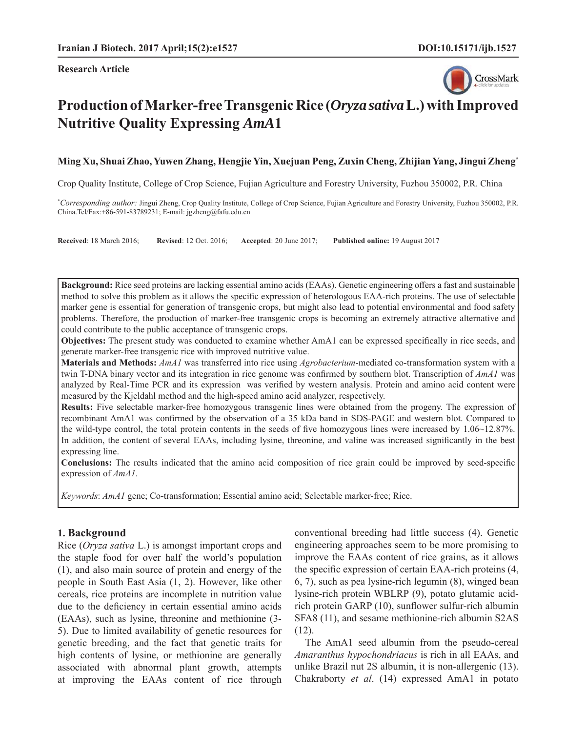**Research Article**



# **Production of Marker-free Transgenic Rice (***Oryza sativa* **L.) with Improved Nutritive Quality Expressing** *AmA***1**

### **Ming Xu, Shuai Zhao, Yuwen Zhang, Hengjie Yin, Xuejuan Peng, Zuxin Cheng, Zhijian Yang, Jingui Zheng\***

Crop Quality Institute, College of Crop Science, Fujian Agriculture and Forestry University, Fuzhou 350002, P.R. China

\* *Corresponding author:* Jingui Zheng, Crop Quality Institute, College of Crop Science, Fujian Agriculture and Forestry University, Fuzhou 350002, P.R. China.Tel/Fax:+86-591-83789231; E-mail: jgzheng@fafu.edu.cn

**Received**: 18 March 2016; **Revised**: 12 Oct. 2016; **Accepted**: 20 June 2017; **Published online:** 19 August 2017

Background: Rice seed proteins are lacking essential amino acids (EAAs). Genetic engineering offers a fast and sustainable method to solve this problem as it allows the specific expression of heterologous EAA-rich proteins. The use of selectable marker gene is essential for generation of transgenic crops, but might also lead to potential environmental and food safety problems. Therefore, the production of marker-free transgenic crops is becoming an extremely attractive alternative and could contribute to the public acceptance of transgenic crops.

**Objectives:** The present study was conducted to examine whether AmA1 can be expressed specifically in rice seeds, and generate marker-free transgenic rice with improved nutritive value.

**Materials and Methods:** *AmA1* was transferred into rice using *Agrobacterium*-mediated co-transformation system with a twin T-DNA binary vector and its integration in rice genome was confirmed by southern blot. Transcription of *AmA1* was analyzed by Real-Time PCR and its expression was verified by western analysis. Protein and amino acid content were measured by the Kjeldahl method and the high-speed amino acid analyzer, respectively.

**Results:** Five selectable marker-free homozygous transgenic lines were obtained from the progeny. The expression of recombinant AmA1 was confirmed by the observation of a 35 kDa band in SDS-PAGE and western blot. Compared to the wild-type control, the total protein contents in the seeds of five homozygous lines were increased by  $1.06~12.87\%$ . In addition, the content of several EAAs, including lysine, threonine, and valine was increased significantly in the best expressing line.

**Conclusions:** The results indicated that the amino acid composition of rice grain could be improved by seed-specific expression of *AmA1*.

*Keywords*: *AmA1* gene; Co-transformation; Essential amino acid; Selectable marker-free; Rice.

# **1. Background**

Rice (*Oryza sativa* L.) is amongst important crops and the staple food for over half the world's population (1), and also main source of protein and energy of the people in South East Asia (1, 2). However, like other cereals, rice proteins are incomplete in nutrition value due to the deficiency in certain essential amino acids (EAAs), such as lysine, threonine and methionine (3- 5). Due to limited availability of genetic resources for genetic breeding, and the fact that genetic traits for high contents of lysine, or methionine are generally associated with abnormal plant growth, attempts at improving the EAAs content of rice through conventional breeding had little success (4). Genetic engineering approaches seem to be more promising to improve the EAAs content of rice grains, as it allows the specific expression of certain EAA-rich proteins (4, 6, 7), such as pea lysine-rich legumin (8), winged bean lysine-rich protein WBLRP (9), potato glutamic acidrich protein GARP (10), sunflower sulfur-rich albumin SFA8 (11), and sesame methionine-rich albumin S2AS (12).

The AmA1 seed albumin from the pseudo-cereal *Amaranthus hypochondriacus* is rich in all EAAs, and unlike Brazil nut 2S albumin, it is non-allergenic (13). Chakraborty *et al*. (14) expressed AmA1 in potato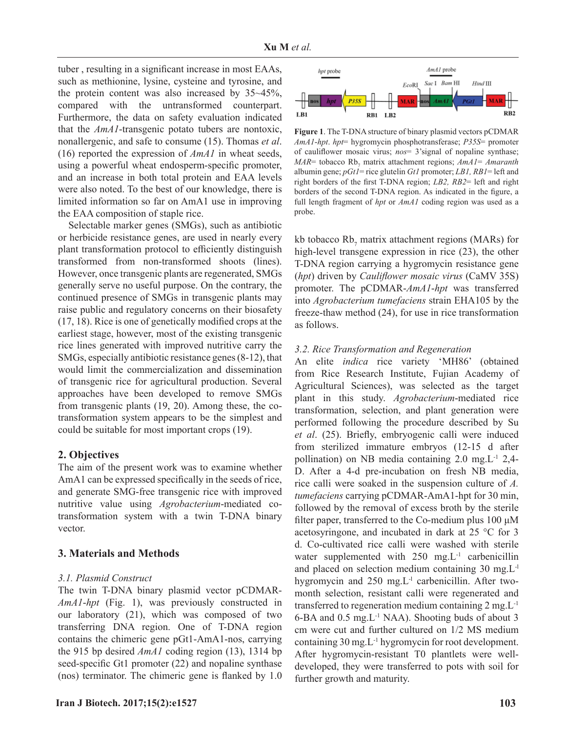tuber, resulting in a significant increase in most EAAs, such as methionine, lysine, cysteine and tyrosine, and the protein content was also increased by 35~45%, compared with the untransformed counterpart. Furthermore, the data on safety evaluation indicated that the *AmA1*-transgenic potato tubers are nontoxic, nonallergenic, and safe to consume (15). Thomas *et al*. (16) reported the expression of *AmA1* in wheat seeds, using a powerful wheat endosperm-specific promoter, and an increase in both total protein and EAA levels were also noted. To the best of our knowledge, there is limited information so far on AmA1 use in improving the EAA composition of staple rice.

Selectable marker genes (SMGs), such as antibiotic or herbicide resistance genes, are used in nearly every plant transformation protocol to efficiently distinguish transformed from non-transformed shoots (lines). However, once transgenic plants are regenerated, SMGs generally serve no useful purpose. On the contrary, the continued presence of SMGs in transgenic plants may raise public and regulatory concerns on their biosafety  $(17, 18)$ . Rice is one of genetically modified crops at the earliest stage, however, most of the existing transgenic rice lines generated with improved nutritive carry the SMGs, especially antibiotic resistance genes (8-12), that would limit the commercialization and dissemination of transgenic rice for agricultural production. Several approaches have been developed to remove SMGs from transgenic plants (19, 20). Among these, the cotransformation system appears to be the simplest and could be suitable for most important crops (19).

### **2. Objectives**

The aim of the present work was to examine whether AmA1 can be expressed specifically in the seeds of rice, and generate SMG-free transgenic rice with improved nutritive value using *Agrobacterium*-mediated cotransformation system with a twin T-DNA binary vector.

### **3. Materials and Methods**

### *3.1. Plasmid Construct*

The twin T-DNA binary plasmid vector pCDMAR-*AmA1*-*hpt* (Fig. 1), was previously constructed in our laboratory (21), which was composed of two transferring DNA region. One of T-DNA region contains the chimeric gene pGt1-AmA1-nos, carrying the 915 bp desired *AmA1* coding region (13), 1314 bp seed-specific Gt1 promoter  $(22)$  and nopaline synthase (nos) terminator. The chimeric gene is flanked by  $1.0$ 



**Figure 1**. The T-DNA structure of binary plasmid vectors pCDMAR *AmA1*-*hpt*. *hpt*= hygromycin phosphotransferase; *P35S*= promoter of caulifl ower mosaic virus; *nos*= 3'signal of nopaline synthase; *MAR*= tobacco Rb<sub>7</sub> matrix attachment regions; *AmA1*= *Amaranth* albumin gene; *pGt1*= rice glutelin *Gt1* promoter; *LB1, RB1*= left and right borders of the first T-DNA region; *LB2*, *RB2*= left and right borders of the second T-DNA region. As indicated in the figure, a full length fragment of *hpt* or *AmA1* coding region was used as a probe.

kb tobacco  $Rb_7$  matrix attachment regions (MARs) for high-level transgene expression in rice (23), the other T-DNA region carrying a hygromycin resistance gene (*hpt*) driven by *Cauliflower mosaic virus* (CaMV 35S) promoter. The pCDMAR-*AmA1*-*hpt* was transferred into *Agrobacterium tumefaciens* strain EHA105 by the freeze-thaw method (24), for use in rice transformation as follows.

### *3.2. Rice Transformation and Regeneration*

An elite *indica* rice variety 'MH86' (obtained from Rice Research Institute, Fujian Academy of Agricultural Sciences), was selected as the target plant in this study. *Agrobacterium*-mediated rice transformation, selection, and plant generation were performed following the procedure described by Su *et al.* (25). Briefly, embryogenic calli were induced from sterilized immature embryos (12-15 d after pollination) on NB media containing 2.0 mg.L-1 2,4- D. After a 4-d pre-incubation on fresh NB media, rice calli were soaked in the suspension culture of *A. tumefaciens* carrying pCDMAR-AmA1-hpt for 30 min, followed by the removal of excess broth by the sterile filter paper, transferred to the Co-medium plus  $100 \mu M$ acetosyringone, and incubated in dark at 25 °C for 3 d. Co-cultivated rice calli were washed with sterile water supplemented with  $250$  mg. L<sup>-1</sup> carbenicillin and placed on selection medium containing 30 mg.L-l hygromycin and  $250 \text{ mg.L}$ <sup>1</sup> carbenicillin. After twomonth selection, resistant calli were regenerated and transferred to regeneration medium containing 2 mg.L-1 6-BA and 0.5 mg.L-1 NAA). Shooting buds of about 3 cm were cut and further cultured on 1/2 MS medium containing 30 mg.L-1 hygromycin for root development. After hygromycin-resistant T0 plantlets were welldeveloped, they were transferred to pots with soil for further growth and maturity.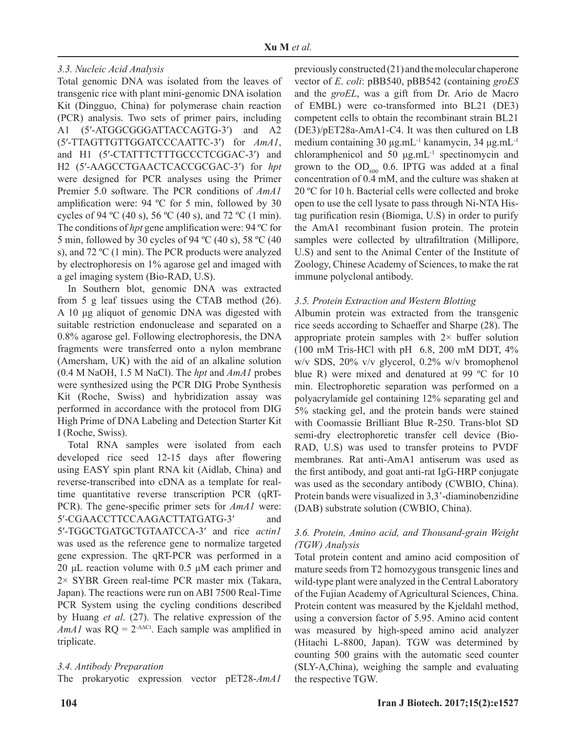# *3.3. Nucleic Acid Analysis*

Total genomic DNA was isolated from the leaves of transgenic rice with plant mini-genomic DNA isolation Kit (Dingguo, China) for polymerase chain reaction (PCR) analysis. Two sets of primer pairs, including A1 (5'-ATGGCGGGATTACCAGTG-3') and A2 (5′-TTAGTTGTTGGATCCCAATTC-3′) for *AmA1*, and H1 (5′-CTATTTCTTTGCCCTCGGAC-3′) and H2 (5′-AAGCCTGAACTCACCGCGAC-3′) for *hpt* were designed for PCR analyses using the Primer Premier 5.0 software. The PCR conditions of *AmA1* amplification were: 94  $^{\circ}$ C for 5 min, followed by 30 cycles of 94 °C (40 s), 56 °C (40 s), and 72 °C (1 min). The conditions of *hpt* gene amplification were: 94 °C for 5 min, followed by 30 cycles of 94 ºC (40 s), 58 ºC (40 s), and 72 ºC (1 min). The PCR products were analyzed by electrophoresis on 1% agarose gel and imaged with a gel imaging system (Bio-RAD, U.S).

In Southern blot, genomic DNA was extracted from 5 g leaf tissues using the CTAB method (26). A 10 μg aliquot of genomic DNA was digested with suitable restriction endonuclease and separated on a 0.8% agarose gel. Following electrophoresis, the DNA fragments were transferred onto a nylon membrane (Amersham, UK) with the aid of an alkaline solution (0.4 M NaOH, 1.5 M NaCl). The *hpt* and *AmA1* probes were synthesized using the PCR DIG Probe Synthesis Kit (Roche, Swiss) and hybridization assay was performed in accordance with the protocol from DIG High Prime of DNA Labeling and Detection Starter Kit I (Roche, Swiss).

Total RNA samples were isolated from each developed rice seed 12-15 days after flowering using EASY spin plant RNA kit (Aidlab, China) and reverse-transcribed into cDNA as a template for realtime quantitative reverse transcription PCR (qRT-PCR). The gene-specific primer sets for *AmA1* were: 5′-CGAACCTTCCAAGACTTATGATG-3′ and 5′-TGGCTGATGCTGTAATCCA-3′ and rice *actin1* was used as the reference gene to normalize targeted gene expression. The qRT-PCR was performed in a 20 μL reaction volume with  $0.5 \mu$ M each primer and 2× SYBR Green real-time PCR master mix (Takara, Japan). The reactions were run on ABI 7500 Real-Time PCR System using the cycling conditions described by Huang *et al*. (27). The relative expression of the *AmA1* was  $RQ = 2^{\Delta \Delta C t}$ . Each sample was amplified in triplicate.

# *3.4. Antibody Preparation*

The prokaryotic expression vector pET28-*AmA1*

previously constructed (21) and the molecular chaperone vector of *E*. *coli*: pBB540, pBB542 (containing *groES* and the *groEL*, was a gift from Dr. Ario de Macro of EMBL) were co-transformed into BL21 (DE3) competent cells to obtain the recombinant strain BL21 (DE3)/pET28a-AmA1-C4. It was then cultured on LB medium containing 30 μg.mL<sup>-1</sup> kanamycin, 34 μg.mL<sup>-1</sup> chloramphenicol and 50  $\mu$ g.mL<sup>-1</sup> spectinomycin and grown to the  $OD<sub>600</sub>$  0.6. IPTG was added at a final concentration of 0.4 mM, and the culture was shaken at 20 ºC for 10 h. Bacterial cells were collected and broke open to use the cell lysate to pass through Ni-NTA Histag purification resin (Biomiga, U.S) in order to purify the AmA1 recombinant fusion protein. The protein samples were collected by ultrafiltration (Millipore, U.S) and sent to the Animal Center of the Institute of Zoology, Chinese Academy of Sciences, to make the rat immune polyclonal antibody.

# *3.5. Protein Extraction and Western Blotting*

Albumin protein was extracted from the transgenic rice seeds according to Schaeffer and Sharpe (28). The appropriate protein samples with  $2 \times$  buffer solution (100 mM Tris-HCl with pH 6.8, 200 mM DDT, 4% w/v SDS, 20% v/v glycerol, 0.2% w/v bromophenol blue R) were mixed and denatured at 99 °C for 10 min. Electrophoretic separation was performed on a polyacrylamide gel containing 12% separating gel and 5% stacking gel, and the protein bands were stained with Coomassie Brilliant Blue R-250. Trans-blot SD semi-dry electrophoretic transfer cell device (Bio-RAD, U.S) was used to transfer proteins to PVDF membranes. Rat anti-AmA1 antiserum was used as the first antibody, and goat anti-rat IgG-HRP conjugate was used as the secondary antibody (CWBIO, China). Protein bands were visualized in 3,3'-diaminobenzidine (DAB) substrate solution (CWBIO, China).

# 3.6. Protein, Amino acid, and Thousand-grain Weight *(TGW) Analysis*

Total protein content and amino acid composition of mature seeds from T2 homozygous transgenic lines and wild-type plant were analyzed in the Central Laboratory of the Fujian Academy of Agricultural Sciences, China. Protein content was measured by the Kjeldahl method, using a conversion factor of 5.95. Amino acid content was measured by high-speed amino acid analyzer (Hitachi L-8800, Japan). TGW was determined by counting 500 grains with the automatic seed counter (SLY-A,China), weighing the sample and evaluating the respective TGW.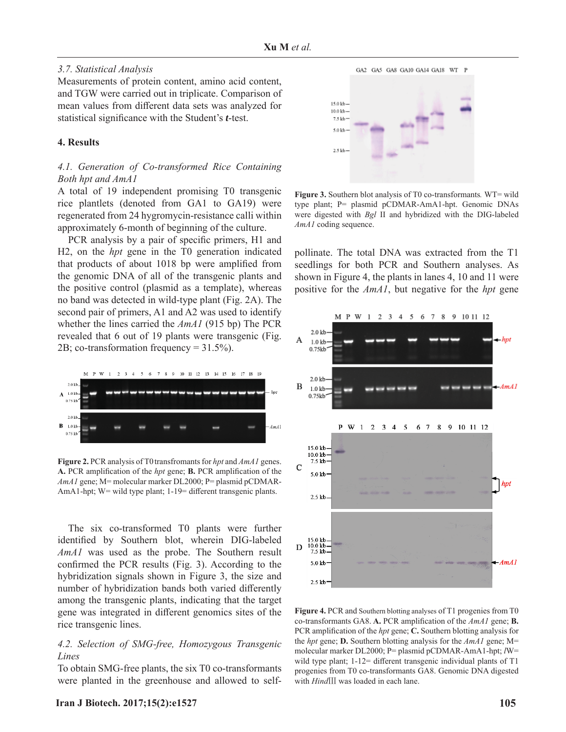#### *3.7. Statistical Analysis*

Measurements of protein content, amino acid content, and TGW were carried out in triplicate. Comparison of mean values from different data sets was analyzed for statistical significance with the Student's *t*-test.

### **4. Results**

### *4.1. Generation of Co-transformed Rice Containing Both hpt and AmA1*

A total of 19 independent promising T0 transgenic rice plantlets (denoted from GA1 to GA19) were regenerated from 24 hygromycin-resistance calli within approximately 6-month of beginning of the culture.

PCR analysis by a pair of specific primers, H1 and H2, on the *hpt* gene in the T0 generation indicated that products of about 1018 bp were amplified from the genomic DNA of all of the transgenic plants and the positive control (plasmid as a template), whereas no band was detected in wild-type plant (Fig. 2A). The second pair of primers, A1 and A2 was used to identify whether the lines carried the *AmA1* (915 bp) The PCR revealed that 6 out of 19 plants were transgenic (Fig. 2B; co-transformation frequency = 31.5%).



**Figure 2.** PCR analysis of T0transfromants for *hpt* and *AmA1* genes. A. PCR amplification of the *hpt* gene; **B.** PCR amplification of the *AmA1* gene; M= molecular marker DL2000; P= plasmid pCDMAR-AmA1-hpt; W= wild type plant; 1-19= different transgenic plants.

The six co-transformed T0 plants were further identified by Southern blot, wherein DIG-labeled *AmA1* was used as the probe. The Southern result confirmed the PCR results (Fig. 3). According to the hybridization signals shown in Figure 3, the size and number of hybridization bands both varied differently among the transgenic plants, indicating that the target gene was integrated in different genomics sites of the rice transgenic lines.

### *4.2. Selection of SMG-free, Homozygous Transgenic Lines*

To obtain SMG-free plants, the six T0 co-transformants were planted in the greenhouse and allowed to self-



**Figure 3.** Southern blot analysis of T0 co-transformants*.* WT= wild type plant; P= plasmid pCDMAR-AmA1-hpt. Genomic DNAs were digested with *Bgl* II and hybridized with the DIG-labeled *AmA1* coding sequence.

pollinate. The total DNA was extracted from the T1 seedlings for both PCR and Southern analyses. As shown in Figure 4, the plants in lanes 4, 10 and 11 were positive for the *AmA1*, but negative for the *hpt* gene



**Figure 4.** PCR and Southern blotting analyses of T1 progenies from T0 co-transformants GA8. A. PCR amplification of the *AmA1* gene; **B.** PCR amplification of the *hpt* gene; **C.** Southern blotting analysis for the *hpt* gene; **D.** Southern blotting analysis for the *AmA1* gene; M= molecular marker DL2000; P= plasmid pCDMAR-AmA1-hpt; *l*W= wild type plant;  $1-12=$  different transgenic individual plants of T1 progenies from T0 co-transformants GA8. Genomic DNA digested with *Hind*Ⅲ was loaded in each lane.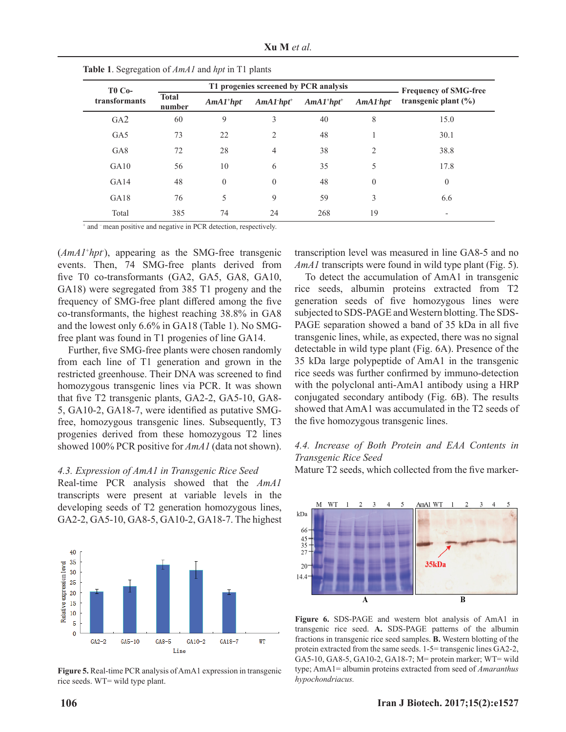| <b>Xu M</b> et al. |  |  |  |
|--------------------|--|--|--|
|--------------------|--|--|--|

| <b>T0 Co-</b>   |                        | $\overline{ }$<br>$\mathbf{r}$<br>T1 progenies screened by PCR analysis |                          |             |             | <b>Frequency of SMG-free</b> |  |
|-----------------|------------------------|-------------------------------------------------------------------------|--------------------------|-------------|-------------|------------------------------|--|
| transformants   | <b>Total</b><br>number | $AmAl+hpt$                                                              | $AmAI$ -hpt <sup>+</sup> | $AmAI+hpt+$ | $AmAl$ -hpt | transgenic plant $(\% )$     |  |
| GA2             | 60                     | 9                                                                       | 3                        | 40          | 8           | 15.0                         |  |
| GA5             | 73                     | 22                                                                      | 2                        | 48          |             | 30.1                         |  |
| GA <sub>8</sub> | 72                     | 28                                                                      | $\overline{4}$           | 38          | 2           | 38.8                         |  |
| GA10            | 56                     | 10                                                                      | 6                        | 35          | 5           | 17.8                         |  |
| GA14            | 48                     | $\theta$                                                                | $\theta$                 | 48          | $\theta$    | $\mathbf{0}$                 |  |
| GA18            | 76                     | 5                                                                       | 9                        | 59          | 3           | 6.6                          |  |
| Total           | 385                    | 74                                                                      | 24                       | 268         | 19          |                              |  |

**Table 1**. Segregation of *AmA1* and *hpt* in T1 plants

+ and – mean positive and negative in PCR detection, respectively.

(*AmA1*<sup>+</sup>*hpt*), appearing as the SMG-free transgenic events. Then, 74 SMG-free plants derived from five T0 co-transformants (GA2, GA5, GA8, GA10, GA18) were segregated from 385 T1 progeny and the frequency of SMG-free plant differed among the five co-transformants, the highest reaching 38.8% in GA8 and the lowest only 6.6% in GA18 (Table 1). No SMGfree plant was found in T1 progenies of line GA14.

Further, five SMG-free plants were chosen randomly from each line of T1 generation and grown in the restricted greenhouse. Their DNA was screened to find homozygous transgenic lines via PCR. It was shown that five  $T2$  transgenic plants,  $GA2-2$ ,  $GA5-10$ ,  $GA8-$ 5, GA10-2, GA18-7, were identified as putative SMGfree, homozygous transgenic lines. Subsequently, T3 progenies derived from these homozygous T2 lines showed 100% PCR positive for *AmA1* (data not shown).

#### *4.3. Expression of AmA 1 in Transgenic Rice Seed*

Real-time PCR analysis showed that the *AmA1* transcripts were present at variable levels in the developing seeds of T2 generation homozygous lines, GA2-2, GA5-10, GA8-5, GA10-2, GA18-7. The highest



**Figure 5.** Real-time PCR analysis of AmA1 expression in transgenic rice seeds. WT= wild type plant.

transcription level was measured in line GA8-5 and no *AmA1* transcripts were found in wild type plant (Fig. 5).

To detect the accumulation of AmA1 in transgenic rice seeds, albumin proteins extracted from T2 generation seeds of five homozygous lines were subjected to SDS-PAGE and Western blotting. The SDS-PAGE separation showed a band of 35 kDa in all five transgenic lines, while, as expected, there was no signal detectable in wild type plant (Fig. 6A). Presence of the 35 kDa large polypeptide of AmA1 in the transgenic rice seeds was further confirmed by immuno-detection with the polyclonal anti-AmA1 antibody using a HRP conjugated secondary antibody (Fig. 6B). The results showed that AmA1 was accumulated in the T2 seeds of the five homozygous transgenic lines.

### *4.4. Increase of Both Protein and EAA Contents in Transgenic Rice Seed*

Mature T2 seeds, which collected from the five marker-



**Figure 6.** SDS-PAGE and western blot analysis of AmA1 in transgenic rice seed. **A.** SDS-PAGE patterns of the albumin fractions in transgenic rice seed samples. **B.** Western blotting of the protein extracted from the same seeds. 1-5= transgenic lines GA2-2, GA5-10, GA8-5, GA10-2, GA18-7; M= protein marker; WT= wild type; AmA1= albumin proteins extracted from seed of *Amaranthus hypochondriacus.*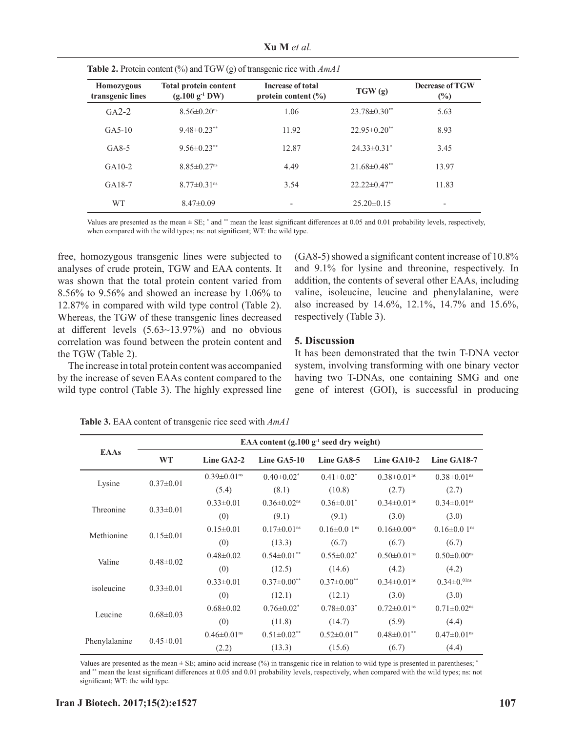**Xu M** *et al.*

**Table 2.** Protein content (%) and TGW (g) of transgenic rice with *AmA1*

| Homozygous<br>transgenic lines | <b>Total protein content</b><br>$(g.100\ g-1 DW)$ | <b>Increase of total</b><br>protein content $(\% )$ | TGW(g)                         | <b>Decrease of TGW</b><br>$(\%)$ |
|--------------------------------|---------------------------------------------------|-----------------------------------------------------|--------------------------------|----------------------------------|
| $GA2-2$                        | $8.56 \pm 0.20$ <sup>ns</sup>                     | 1.06                                                | $23.78 \pm 0.30$ **            | 5.63                             |
| $GA5-10$                       | $9.48 \pm 0.23$ **                                | 11.92                                               | $22.95 \pm 0.20$ <sup>**</sup> | 8.93                             |
| $GA8-5$                        | $9.56 \pm 0.23$ **                                | 12.87                                               | $24.33 \pm 0.31$ <sup>*</sup>  | 3.45                             |
| $GA10-2$                       | $8.85 \pm 0.27$ <sup>ns</sup>                     | 4.49                                                | $21.68 \pm 0.48$ <sup>**</sup> | 13.97                            |
| $GA18-7$                       | $8.77 \pm 0.31$ <sup>ns</sup>                     | 3.54                                                | $22.22 \pm 0.47$ **            | 11.83                            |
| <b>WT</b>                      | $8.47 \pm 0.09$                                   | $\overline{\phantom{a}}$                            | $25.20 \pm 0.15$               | $\qquad \qquad \blacksquare$     |

Values are presented as the mean  $\pm$  SE;  $^*$  and  $^{**}$  mean the least significant differences at 0.05 and 0.01 probability levels, respectively, when compared with the wild types; ns: not significant; WT: the wild type.

free, homozygous transgenic lines were subjected to analyses of crude protein, TGW and EAA contents. It was shown that the total protein content varied from 8.56% to 9.56% and showed an increase by 1.06% to 12.87% in compared with wild type control (Table 2). Whereas, the TGW of these transgenic lines decreased at different levels  $(5.63~13.97%)$  and no obvious correlation was found between the protein content and the TGW (Table 2).

The increase in total protein content was accompanied by the increase of seven EAAs content compared to the wild type control (Table 3). The highly expressed line  $(GA8-5)$  showed a significant content increase of 10.8% and 9.1% for lysine and threonine, respectively. In addition, the contents of several other EAAs, including valine, isoleucine, leucine and phenylalanine, were also increased by 14.6%, 12.1%, 14.7% and 15.6%, respectively (Table 3).

# **5. Discussion**

It has been demonstrated that the twin T-DNA vector system, involving transforming with one binary vector having two T-DNAs, one containing SMG and one gene of interest (GOI), is successful in producing

|               | EAA content $(g.100 g-1 seed dry weight)$ |                               |                               |                               |                               |                               |  |
|---------------|-------------------------------------------|-------------------------------|-------------------------------|-------------------------------|-------------------------------|-------------------------------|--|
| <b>EAAs</b>   | <b>WT</b>                                 | Line GA2-2                    | Line GA5-10                   | Line GA8-5                    | Line GA10-2                   | Line GA18-7                   |  |
| Lysine        |                                           | $0.39 \pm 0.01$ <sup>ns</sup> | $0.40 \pm 0.02^*$             | $0.41 \pm 0.02^*$             | $0.38 \pm 0.01$ <sup>ns</sup> | $0.38 \pm 0.01$ <sup>ns</sup> |  |
|               | $0.37 \pm 0.01$                           | (5.4)                         | (8.1)                         | (10.8)                        | (2.7)                         | (2.7)                         |  |
| Threonine     | $0.33 \pm 0.01$                           | $0.33 \pm 0.01$               | $0.36 \pm 0.02$ <sup>ns</sup> | $0.36 \pm 0.01^*$             | $0.34 \pm 0.01$ <sup>ns</sup> | $0.34 \pm 0.01$ <sup>ns</sup> |  |
|               |                                           | (0)                           | (9.1)                         | (9.1)                         | (3.0)                         | (3.0)                         |  |
| Methionine    | $0.15 \pm 0.01$                           | $0.15 \pm 0.01$               | $0.17 \pm 0.01$ <sup>ns</sup> | $0.16 \pm 0.01$ <sup>ns</sup> | $0.16 \pm 0.00$ <sup>ns</sup> | $0.16 \pm 0.01$ <sup>ns</sup> |  |
|               |                                           | (0)                           | (13.3)                        | (6.7)                         | (6.7)                         | (6.7)                         |  |
| Valine        | $0.48 \pm 0.02$                           | $0.48 \pm 0.02$               | $0.54 \pm 0.01$ **            | $0.55 \pm 0.02^*$             | $0.50 \pm 0.01$ <sup>ns</sup> | $0.50 \pm 0.00$ <sup>ns</sup> |  |
|               |                                           | (0)                           | (12.5)                        | (14.6)                        | (4.2)                         | (4.2)                         |  |
| isoleucine    |                                           | $0.33 \pm 0.01$               | $0.37 \pm 0.00$ <sup>**</sup> | $0.37 \pm 0.00$ <sup>**</sup> | $0.34 \pm 0.01$ <sup>ns</sup> | $0.34 \pm 0.01$ ns            |  |
|               | $0.33 \pm 0.01$                           | (0)                           | (12.1)                        | (12.1)                        | (3.0)                         | (3.0)                         |  |
| Leucine       |                                           | $0.68 \pm 0.02$               | $0.76 \pm 0.02$ <sup>*</sup>  | $0.78 \pm 0.03$ <sup>*</sup>  | $0.72 \pm 0.01$ <sup>ns</sup> | $0.71 \pm 0.02$ <sup>ns</sup> |  |
|               | $0.68 \pm 0.03$                           | (0)                           | (11.8)                        | (14.7)                        | (5.9)                         | (4.4)                         |  |
| Phenylalanine |                                           | $0.46 \pm 0.01$ <sup>ns</sup> | $0.51 \pm 0.02$ **            | $0.52 \pm 0.01$ **            | $0.48 \pm 0.01$ **            | $0.47 \pm 0.01$ <sup>ns</sup> |  |
|               | $0.45 \pm 0.01$                           | (2.2)                         | (13.3)                        | (15.6)                        | (6.7)                         | (4.4)                         |  |

**Table 3.** EAA content of transgenic rice seed with *AmA1* 

Values are presented as the mean  $\pm$  SE; amino acid increase (%) in transgenic rice in relation to wild type is presented in parentheses; \* and \*\* mean the least significant differences at 0.05 and 0.01 probability levels, respectively, when compared with the wild types; ns: not significant; WT: the wild type.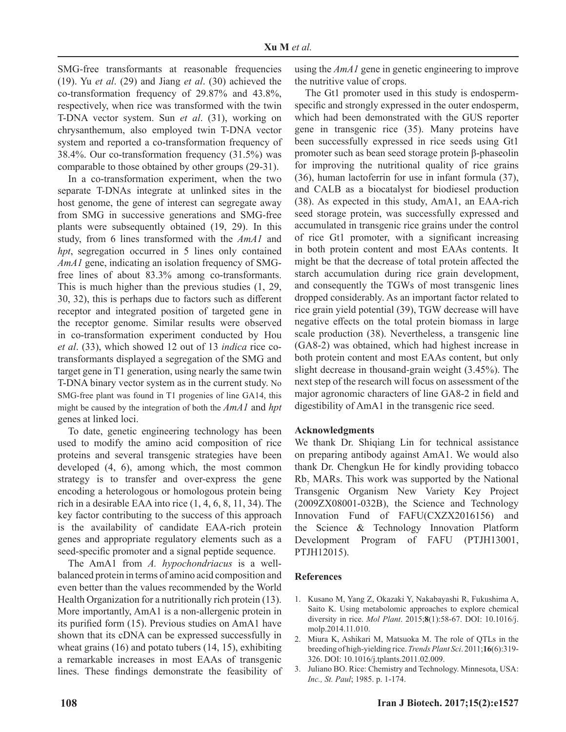SMG-free transformants at reasonable frequencies (19). Yu *et al*. (29) and Jiang *et al*. (30) achieved the co-transformation frequency of 29.87% and 43.8%, respectively, when rice was transformed with the twin T-DNA vector system. Sun *et al*. (31), working on chrysanthemum, also employed twin T-DNA vector system and reported a co-transformation frequency of 38.4%. Our co-transformation frequency (31.5%) was comparable to those obtained by other groups (29-31).

In a co-transformation experiment, when the two separate T-DNAs integrate at unlinked sites in the host genome, the gene of interest can segregate away from SMG in successive generations and SMG-free plants were subsequently obtained (19, 29). In this study, from 6 lines transformed with the *AmA1* and *hpt*, segregation occurred in 5 lines only contained *AmA1* gene, indicating an isolation frequency of SMGfree lines of about 83.3% among co-transformants. This is much higher than the previous studies (1, 29, 30, 32), this is perhaps due to factors such as different receptor and integrated position of targeted gene in the receptor genome. Similar results were observed in co-transformation experiment conducted by Hou *et al*. (33), which showed 12 out of 13 *indica* rice cotransformants displayed a segregation of the SMG and target gene in T1 generation, using nearly the same twin T-DNA binary vector system as in the current study. No SMG-free plant was found in T1 progenies of line GA14, this might be caused by the integration of both the *AmA1* and *hpt* genes at linked loci.

To date, genetic engineering technology has been used to modify the amino acid composition of rice proteins and several transgenic strategies have been developed (4, 6), among which, the most common strategy is to transfer and over-express the gene encoding a heterologous or homologous protein being rich in a desirable EAA into rice (1, 4, 6, 8, 11, 34). The key factor contributing to the success of this approach is the availability of candidate EAA-rich protein genes and appropriate regulatory elements such as a seed-specific promoter and a signal peptide sequence.

The AmA1 from *A. hypochondriacus* is a wellbalanced protein in terms of amino acid composition and even better than the values recommended by the World Health Organization for a nutritionally rich protein (13). More importantly, AmA1 is a non-allergenic protein in its purified form (15). Previous studies on AmA1 have shown that its cDNA can be expressed successfully in wheat grains (16) and potato tubers (14, 15), exhibiting a remarkable increases in most EAAs of transgenic lines. These findings demonstrate the feasibility of using the *AmA1* gene in genetic engineering to improve the nutritive value of crops.

The Gt1 promoter used in this study is endospermspecific and strongly expressed in the outer endosperm, which had been demonstrated with the GUS reporter gene in transgenic rice (35). Many proteins have been successfully expressed in rice seeds using Gt1 promoter such as bean seed storage protein β-phaseolin for improving the nutritional quality of rice grains (36), human lactoferrin for use in infant formula (37), and CALB as a biocatalyst for biodiesel production (38). As expected in this study, AmA1, an EAA-rich seed storage protein, was successfully expressed and accumulated in transgenic rice grains under the control of rice Gt1 promoter, with a significant increasing in both protein content and most EAAs contents. It might be that the decrease of total protein affected the starch accumulation during rice grain development, and consequently the TGWs of most transgenic lines dropped considerably. As an important factor related to rice grain yield potential (39), TGW decrease will have negative effects on the total protein biomass in large scale production (38). Nevertheless, a transgenic line (GA8-2) was obtained, which had highest increase in both protein content and most EAAs content, but only slight decrease in thousand-grain weight (3.45%). The next step of the research will focus on assessment of the major agronomic characters of line GA8-2 in field and digestibility of AmA1 in the transgenic rice seed.

#### **Acknowledgments**

We thank Dr. Shiqiang Lin for technical assistance on preparing antibody against AmA1. We would also thank Dr. Chengkun He for kindly providing tobacco  $Rb<sub>7</sub>$  MARs. This work was supported by the National Transgenic Organism New Variety Key Project (2009ZX08001-032B), the Science and Technology Innovation Fund of FAFU(CXZX2016156) and the Science & Technology Innovation Platform Development Program of FAFU (PTJH13001, PTJH12015).

#### **References**

- 1. Kusano M, Yang Z, Okazaki Y, Nakabayashi R, Fukushima A, Saito K. Using metabolomic approaches to explore chemical diversity in rice. *Mol Plant*. 2015;**8**(1):58-67. DOI: 10.1016/j. molp.2014.11.010.
- 2. Miura K, Ashikari M, Matsuoka M. The role of QTLs in the breeding of high-yielding rice. *Trends Plant Sci*. 2011;**16**(6):319- 326. DOI: 10.1016/j.tplants.2011.02.009.
- 3. Juliano BO. Rice: Chemistry and Technology. Minnesota, USA: *Inc., St. Paul*; 1985. p. 1-174.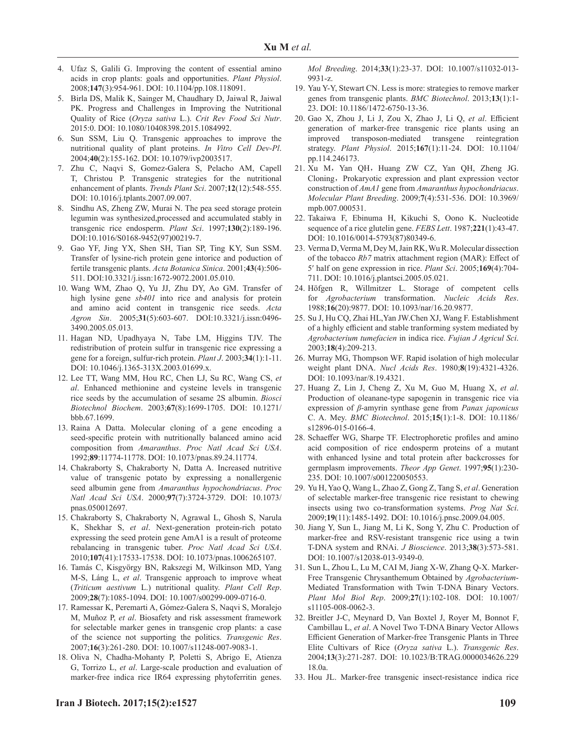- 4. Ufaz S, Galili G. Improving the content of essential amino acids in crop plants: goals and opportunities. *Plant Physiol*. 2008;**147**(3):954-961. DOI: 10.1104/pp.108.118091.
- 5. Birla DS, Malik K, Sainger M, Chaudhary D, Jaiwal R, Jaiwal PK. Progress and Challenges in Improving the Nutritional Quality of Rice (*Oryza sativa* L.). *Crit Rev Food Sci Nutr*. 2015:0. DOI: 10.1080/10408398.2015.1084992.
- 6. Sun SSM, Liu Q. Transgenic approaches to improve the nutritional quality of plant proteins. *In Vitro Cell Dev-Pl*. 2004;**40**(2):155-162. DOI: 10.1079/ivp2003517.
- 7. Zhu C, Naqvi S, Gomez-Galera S, Pelacho AM, Capell T, Christou P. Transgenic strategies for the nutritional enhancement of plants. *Trends Plant Sci*. 2007;**12**(12):548-555. DOI: 10.1016/j.tplants.2007.09.007.
- 8. Sindhu AS, Zheng ZW, Murai N. The pea seed storage protein legumin was synthesized,processed and accumulated stably in transgenic rice endosperm. *Plant Sci*. 1997;**130**(2):189-196. DOI:10.1016/S0168-9452(97)00219-7.
- 9. Gao YF, Jing YX, Shen SH, Tian SP, Ting KY, Sun SSM. Transfer of lysine-rich protein gene intorice and poduction of fertile transgenic plants. *Acta Botanica Sinica*. 2001;**43**(4):506- 511. DOI:10.3321/j.issn:1672-9072.2001.05.010.
- 10. Wang WM, Zhao Q, Yu JJ, Zhu DY, Ao GM. Transfer of high lysine gene *sb401* into rice and analysis for protein and amino acid content in transgenic rice seeds. *Acta Agron Sin*. 2005;**31**(5):603-607. DOI:10.3321/j.issn:0496- 3490.2005.05.013.
- 11. Hagan ND, Upadhyaya N, Tabe LM, Higgins TJV. The redistribution of protein sulfur in transgenic rice expressing a gene for a foreign, sulfur-rich protein. *Plant J*. 2003;**34**(1):1-11. DOI: 10.1046/j.1365-313X.2003.01699.x.
- 12. Lee TT, Wang MM, Hou RC, Chen LJ, Su RC, Wang CS, *et al*. Enhanced methionine and cysteine levels in transgenic rice seeds by the accumulation of sesame 2S albumin. *Biosci Biotechnol Biochem*. 2003;**67**(8):1699-1705. DOI: 10.1271/ bbb.67.1699.
- 13. Raina A Datta. Molecular cloning of a gene encoding a seed-specific protein with nutritionally balanced amino acid composition from *Amaranthus*. *Proc Natl Acad Sci USA*. 1992;**89**:11774-11778. DOI: 10.1073/pnas.89.24.11774.
- 14. Chakraborty S, Chakraborty N, Datta A. Increased nutritive value of transgenic potato by expressing a nonallergenic seed albumin gene from *Amaranthus hypochondriacus*. *Proc Natl Acad Sci USA*. 2000;**97**(7):3724-3729. DOI: 10.1073/ pnas.050012697.
- 15. Chakraborty S, Chakraborty N, Agrawal L, Ghosh S, Narula K, Shekhar S, *et al*. Next-generation protein-rich potato expressing the seed protein gene AmA1 is a result of proteome rebalancing in transgenic tuber. *Proc Natl Acad Sci USA*. 2010;**107**(41):17533-17538. DOI: 10.1073/pnas.1006265107.
- 16. Tamás C, Kisgyörgy BN, Rakszegi M, Wilkinson MD, Yang M-S, Láng L, *et al*. Transgenic approach to improve wheat (*Triticum aestivum* L.) nutritional quality. *Plant Cell Rep*. 2009;**28**(7):1085-1094. DOI: 10.1007/s00299-009-0716-0.
- 17. Ramessar K, Peremarti A, Gómez-Galera S, Naqvi S, Moralejo M, Muñoz P, *et al*. Biosafety and risk assessment framework for selectable marker genes in transgenic crop plants: a case of the science not supporting the politics. *Transgenic Res*. 2007;**16**(3):261-280. DOI: 10.1007/s11248-007-9083-1.
- 18. Oliva N, Chadha-Mohanty P, Poletti S, Abrigo E, Atienza G, Torrizo L, *et al*. Large-scale production and evaluation of marker-free indica rice IR64 expressing phytoferritin genes.

*Mol Breeding*. 2014;**33**(1):23-37. DOI: 10.1007/s11032-013- 9931-z.

- 19. Yau Y-Y, Stewart CN. Less is more: strategies to remove marker genes from transgenic plants. *BMC Biotechnol*. 2013;**13**(1):1- 23. DOI: 10.1186/1472-6750-13-36.
- 20. Gao X, Zhou J, Li J, Zou X, Zhao J, Li Q, et al. Efficient generation of marker-free transgenic rice plants using an improved transposon-mediated transgene reintegration strategy. *Plant Physiol*. 2015;**167**(1):11-24. DOI: 10.1104/ pp.114.246173.
- 21. Xu M, Yan QH, Huang ZW CZ, Yan QH, Zheng JG. Cloning, Prokaryotic expression and plant expression vector construction of *AmA1* gene from *Amaranthus hypochondriacus*. *Molecular Plant Breeding*. 2009;**7**(4):531-536. DOI: 10.3969/ mpb.007.000531.
- 22. Takaiwa F, Ebinuma H, Kikuchi S, Oono K. Nucleotide sequence of a rice glutelin gene. *FEBS Lett*. 1987;**221**(1):43-47. DOI: 10.1016/0014-5793(87)80349-6.
- 23. Verma D, Verma M, Dey M, Jain RK, Wu R. Molecular dissection of the tobacco *Rb7* matrix attachment region (MAR): Effect of 5′ half on gene expression in rice. *Plant Sci*. 2005;**169**(4):704- 711. DOI: 10.1016/j.plantsci.2005.05.021.
- 24. Höfgen R, Willmitzer L. Storage of competent cells for *Agrobacterium* transformation. *Nucleic Acids Res*. 1988;**16**(20):9877. DOI: 10.1093/nar/16.20.9877.
- 25. Su J, Hu CQ, Zhai HL,Yan JW.Chen XJ, Wang F. Establishment of a highly efficient and stable tranforming system mediated by *Agrobacterium tumefacien* in indica rice. *Fujian J Agricul Sci*. 2003;**18**(4):209-213.
- 26. Murray MG, Thompson WF. Rapid isolation of high molecular weight plant DNA. *Nucl Acids Res*. 1980;**8**(19):4321-4326. DOI: 10.1093/nar/8.19.4321.
- 27. Huang Z, Lin J, Cheng Z, Xu M, Guo M, Huang X, *et al*. Production of oleanane-type sapogenin in transgenic rice via expression of *β*-amyrin synthase gene from *Panax japonicus* C. A. Mey. *BMC Biotechnol*. 2015;**15**(1):1-8. DOI: 10.1186/ s12896-015-0166-4.
- 28. Schaeffer WG, Sharpe TF. Electrophoretic profiles and amino acid composition of rice endosperm proteins of a mutant with enhanced lysine and total protein after backcrosses for germplasm improvements. *Theor App Genet*. 1997;**95**(1):230- 235. DOI: 10.1007/s001220050553.
- 29. Yu H, Yao Q, Wang L, Zhao Z, Gong Z, Tang S, *et al*. Generation of selectable marker-free transgenic rice resistant to chewing insects using two co-transformation systems. *Prog Nat Sci*. 2009;**19**(11):1485-1492. DOI: 10.1016/j.pnsc.2009.04.005.
- 30. Jiang Y, Sun L, Jiang M, Li K, Song Y, Zhu C. Production of marker-free and RSV-resistant transgenic rice using a twin T-DNA system and RNAi. *J Bioscience*. 2013;**38**(3):573-581. DOI: 10.1007/s12038-013-9349-0.
- 31. Sun L, Zhou L, Lu M, CAI M, Jiang X-W, Zhang Q-X. Marker-Free Transgenic Chrysanthemum Obtained by *Agrobacterium*-Mediated Transformation with Twin T-DNA Binary Vectors. *Plant Mol Biol Rep*. 2009;**27**(1):102-108. DOI: 10.1007/ s11105-008-0062-3.
- 32. Breitler J-C, Meynard D, Van Boxtel J, Royer M, Bonnot F, Cambillau L, *et al*. A Novel Two T-DNA Binary Vector Allows Efficient Generation of Marker-free Transgenic Plants in Three Elite Cultivars of Rice (*Oryza sativa* L.). *Transgenic Res*. 2004;**13**(3):271-287. DOI: 10.1023/B:TRAG.0000034626.229 18.0a.
- 33. Hou JL. Marker-free transgenic insect-resistance indica rice